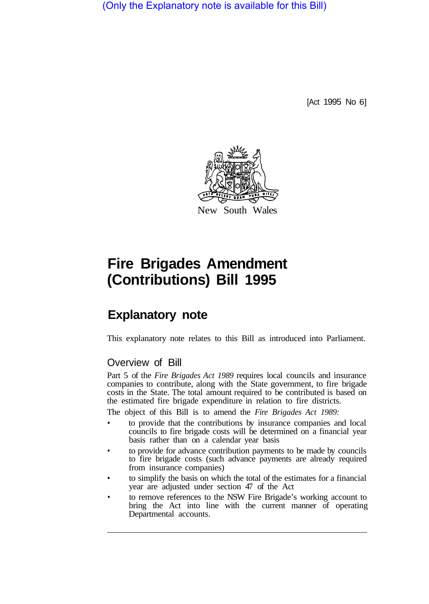(Only the Explanatory note is available for this Bill)

[Act 1995 No 6]



## **Fire Brigades Amendment (Contributions) Bill 1995**

## **Explanatory note**

This explanatory note relates to this Bill as introduced into Parliament.

## Overview of Bill

Part 5 of the *Fire Brigades Act 1989* requires local councils and insurance companies to contribute, along with the State government, to fire brigade costs in the State. The total amount required to be contributed is based on the estimated fire brigade expenditure in relation to fire districts.

The object of this Bill is to amend the *Fire Brigades Act 1989:* 

- to provide that the contributions by insurance companies and local councils to fire brigade costs will be determined on a financial year basis rather than on a calendar year basis
- to provide for advance contribution payments to be made by councils to fire brigade costs (such advance payments are already required from insurance companies)
- to simplify the basis on which the total of the estimates for a financial year are adjusted under section 47 of the Act
- to remove references to the NSW Fire Brigade's working account to bring the Act into line with the current manner of operating Departmental accounts.